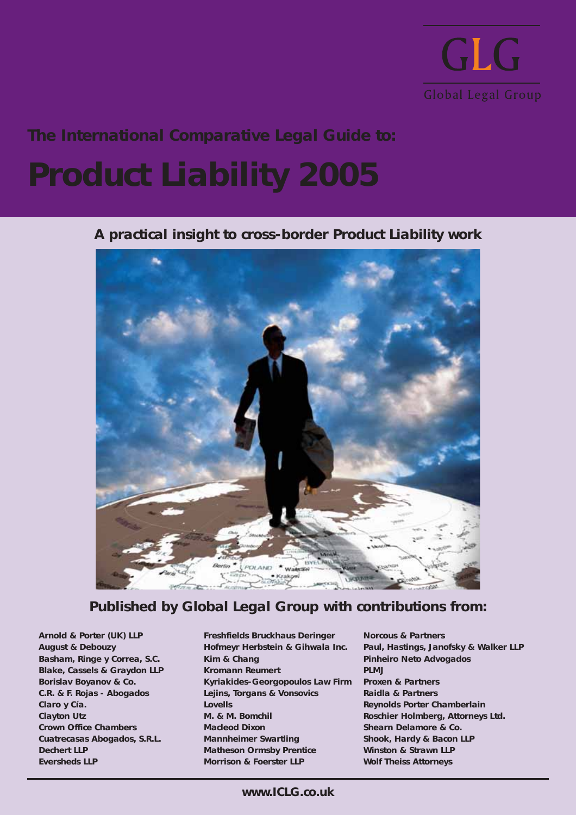

**The International Comparative Legal Guide to:**

# **Product Liability 2005**

**A practical insight to cross-border Product Liability work**



### **Published by Global Legal Group with contributions from:**

**Arnold & Porter (UK) LLP August & Debouzy Basham, Ringe y Correa, S.C. Blake, Cassels & Graydon LLP Borislav Boyanov & Co. C.R. & F. Rojas - Abogados Claro y Cía. Clayton Utz Crown Office Chambers Cuatrecasas Abogados, S.R.L. Dechert LLP Eversheds LLP**

**Freshfields Bruckhaus Deringer Hofmeyr Herbstein & Gihwala Inc. Kim & Chang Kromann Reumert Kyriakides-Georgopoulos Law Firm Lejins, Torgans & Vonsovics Lovells M. & M. Bomchil Macleod Dixon Mannheimer Swartling Matheson Ormsby Prentice Morrison & Foerster LLP**

**Norcous & Partners Paul, Hastings, Janofsky & Walker LLP Pinheiro Neto Advogados PLMJ Proxen & Partners Raidla & Partners Reynolds Porter Chamberlain Roschier Holmberg, Attorneys Ltd. Shearn Delamore & Co. Shook, Hardy & Bacon LLP Winston & Strawn LLP Wolf Theiss Attorneys**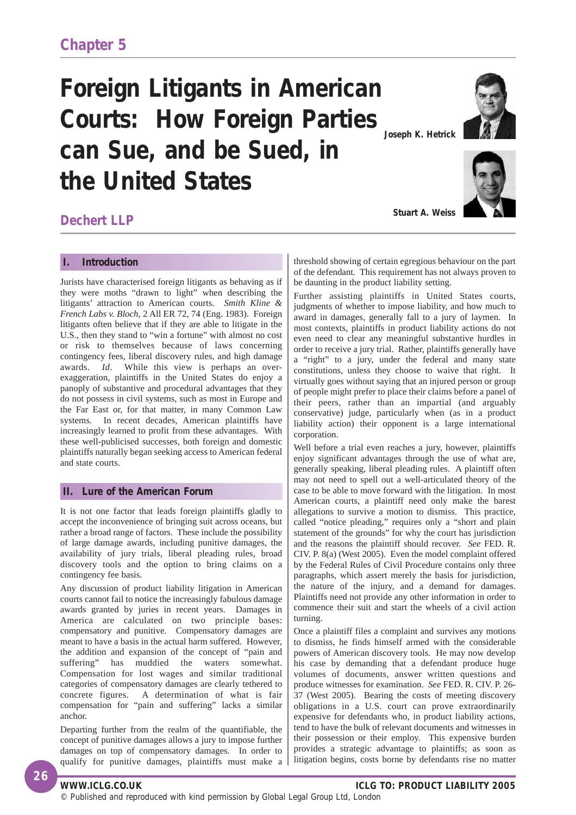### **Foreign Litigants in American Courts: How Foreign Parties can Sue, and be Sued, in the United States Joseph K. Hetrick**



**Stuart A. Weiss**



**Dechert LLP**

#### **I. Introduction**

Jurists have characterised foreign litigants as behaving as if they were moths "drawn to light" when describing the litigants' attraction to American courts. *Smith Kline & French Labs v. Bloch*, 2 All ER 72, 74 (Eng. 1983). Foreign litigants often believe that if they are able to litigate in the U.S., then they stand to "win a fortune" with almost no cost or risk to themselves because of laws concerning contingency fees, liberal discovery rules, and high damage awards. *Id*. While this view is perhaps an overexaggeration, plaintiffs in the United States do enjoy a panoply of substantive and procedural advantages that they do not possess in civil systems, such as most in Europe and the Far East or, for that matter, in many Common Law systems. In recent decades, American plaintiffs have increasingly learned to profit from these advantages. With these well-publicised successes, both foreign and domestic plaintiffs naturally began seeking access to American federal and state courts.

#### **II. Lure of the American Forum**

It is not one factor that leads foreign plaintiffs gladly to accept the inconvenience of bringing suit across oceans, but rather a broad range of factors. These include the possibility of large damage awards, including punitive damages, the availability of jury trials, liberal pleading rules, broad discovery tools and the option to bring claims on a contingency fee basis.

Any discussion of product liability litigation in American courts cannot fail to notice the increasingly fabulous damage awards granted by juries in recent years. Damages in America are calculated on two principle bases: compensatory and punitive. Compensatory damages are meant to have a basis in the actual harm suffered. However, the addition and expansion of the concept of "pain and suffering" has muddied the waters somewhat. Compensation for lost wages and similar traditional categories of compensatory damages are clearly tethered to concrete figures. A determination of what is fair compensation for "pain and suffering" lacks a similar anchor.

Departing further from the realm of the quantifiable, the concept of punitive damages allows a jury to impose further damages on top of compensatory damages. In order to qualify for punitive damages, plaintiffs must make a

threshold showing of certain egregious behaviour on the part of the defendant. This requirement has not always proven to be daunting in the product liability setting.

Further assisting plaintiffs in United States courts, judgments of whether to impose liability, and how much to award in damages, generally fall to a jury of laymen. In most contexts, plaintiffs in product liability actions do not even need to clear any meaningful substantive hurdles in order to receive a jury trial. Rather, plaintiffs generally have a "right" to a jury, under the federal and many state constitutions, unless they choose to waive that right. It virtually goes without saying that an injured person or group of people might prefer to place their claims before a panel of their peers, rather than an impartial (and arguably conservative) judge, particularly when (as in a product liability action) their opponent is a large international corporation.

Well before a trial even reaches a jury, however, plaintiffs enjoy significant advantages through the use of what are, generally speaking, liberal pleading rules. A plaintiff often may not need to spell out a well-articulated theory of the case to be able to move forward with the litigation. In most American courts, a plaintiff need only make the barest allegations to survive a motion to dismiss. This practice, called "notice pleading," requires only a "short and plain statement of the grounds" for why the court has jurisdiction and the reasons the plaintiff should recover. *See* FED. R. CIV. P. 8(a) (West 2005). Even the model complaint offered by the Federal Rules of Civil Procedure contains only three paragraphs, which assert merely the basis for jurisdiction, the nature of the injury, and a demand for damages. Plaintiffs need not provide any other information in order to commence their suit and start the wheels of a civil action turning.

Once a plaintiff files a complaint and survives any motions to dismiss, he finds himself armed with the considerable powers of American discovery tools. He may now develop his case by demanding that a defendant produce huge volumes of documents, answer written questions and produce witnesses for examination. *See* FED. R. CIV. P. 26- 37 (West 2005). Bearing the costs of meeting discovery obligations in a U.S. court can prove extraordinarily expensive for defendants who, in product liability actions, tend to have the bulk of relevant documents and witnesses in their possession or their employ. This expensive burden provides a strategic advantage to plaintiffs; as soon as litigation begins, costs borne by defendants rise no matter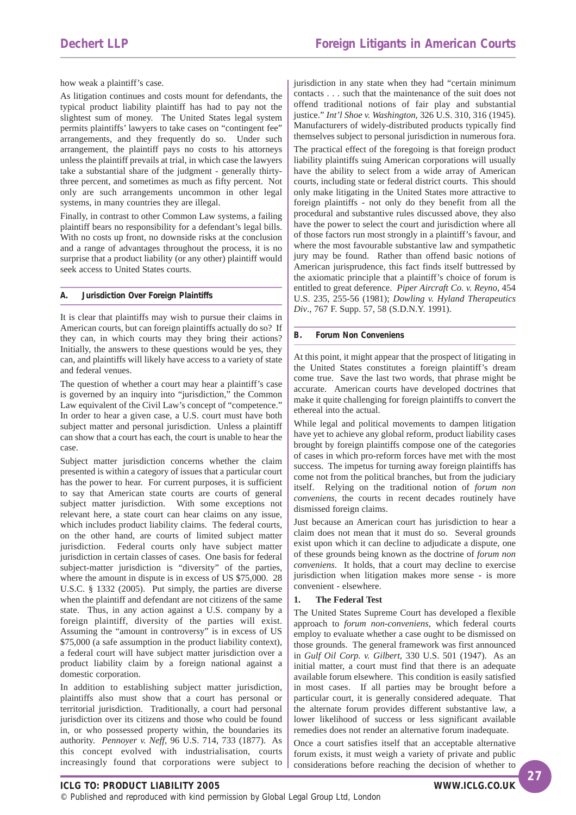how weak a plaintiff's case.

As litigation continues and costs mount for defendants, the typical product liability plaintiff has had to pay not the slightest sum of money. The United States legal system permits plaintiffs' lawyers to take cases on "contingent fee" arrangements, and they frequently do so. Under such arrangement, the plaintiff pays no costs to his attorneys unless the plaintiff prevails at trial, in which case the lawyers take a substantial share of the judgment - generally thirtythree percent, and sometimes as much as fifty percent. Not only are such arrangements uncommon in other legal systems, in many countries they are illegal.

Finally, in contrast to other Common Law systems, a failing plaintiff bears no responsibility for a defendant's legal bills. With no costs up front, no downside risks at the conclusion and a range of advantages throughout the process, it is no surprise that a product liability (or any other) plaintiff would seek access to United States courts.

#### **A. Jurisdiction Over Foreign Plaintiffs**

It is clear that plaintiffs may wish to pursue their claims in American courts, but can foreign plaintiffs actually do so? If they can, in which courts may they bring their actions? Initially, the answers to these questions would be yes, they can, and plaintiffs will likely have access to a variety of state and federal venues.

The question of whether a court may hear a plaintiff's case is governed by an inquiry into "jurisdiction," the Common Law equivalent of the Civil Law's concept of "competence." In order to hear a given case, a U.S. court must have both subject matter and personal jurisdiction. Unless a plaintiff can show that a court has each, the court is unable to hear the case.

Subject matter jurisdiction concerns whether the claim presented is within a category of issues that a particular court has the power to hear. For current purposes, it is sufficient to say that American state courts are courts of general subject matter jurisdiction. With some exceptions not relevant here, a state court can hear claims on any issue, which includes product liability claims. The federal courts, on the other hand, are courts of limited subject matter jurisdiction. Federal courts only have subject matter jurisdiction in certain classes of cases. One basis for federal subject-matter jurisdiction is "diversity" of the parties, where the amount in dispute is in excess of US \$75,000. 28 U.S.C. § 1332 (2005). Put simply, the parties are diverse when the plaintiff and defendant are not citizens of the same state. Thus, in any action against a U.S. company by a foreign plaintiff, diversity of the parties will exist. Assuming the "amount in controversy" is in excess of US \$75,000 (a safe assumption in the product liability context), a federal court will have subject matter jurisdiction over a product liability claim by a foreign national against a domestic corporation.

In addition to establishing subject matter jurisdiction, plaintiffs also must show that a court has personal or territorial jurisdiction. Traditionally, a court had personal jurisdiction over its citizens and those who could be found in, or who possessed property within, the boundaries its authority. *Pennoyer v. Neff*, 96 U.S. 714, 733 (1877). As this concept evolved with industrialisation, courts increasingly found that corporations were subject to

jurisdiction in any state when they had "certain minimum contacts . . . such that the maintenance of the suit does not offend traditional notions of fair play and substantial justice." *Int'l Shoe v. Washington*, 326 U.S. 310, 316 (1945). Manufacturers of widely-distributed products typically find themselves subject to personal jurisdiction in numerous fora. The practical effect of the foregoing is that foreign product liability plaintiffs suing American corporations will usually have the ability to select from a wide array of American courts, including state or federal district courts. This should only make litigating in the United States more attractive to foreign plaintiffs - not only do they benefit from all the procedural and substantive rules discussed above, they also have the power to select the court and jurisdiction where all of those factors run most strongly in a plaintiff's favour, and where the most favourable substantive law and sympathetic jury may be found. Rather than offend basic notions of American jurisprudence, this fact finds itself buttressed by the axiomatic principle that a plaintiff's choice of forum is entitled to great deference. *Piper Aircraft Co. v. Reyno*, 454 U.S. 235, 255-56 (1981); *Dowling v. Hyland Therapeutics Div*., 767 F. Supp. 57, 58 (S.D.N.Y. 1991).

#### **B. Forum Non Conveniens**

At this point, it might appear that the prospect of litigating in the United States constitutes a foreign plaintiff's dream come true. Save the last two words, that phrase might be accurate. American courts have developed doctrines that make it quite challenging for foreign plaintiffs to convert the ethereal into the actual.

While legal and political movements to dampen litigation have yet to achieve any global reform, product liability cases brought by foreign plaintiffs compose one of the categories of cases in which pro-reform forces have met with the most success. The impetus for turning away foreign plaintiffs has come not from the political branches, but from the judiciary itself. Relying on the traditional notion of *forum non conveniens*, the courts in recent decades routinely have dismissed foreign claims.

Just because an American court has jurisdiction to hear a claim does not mean that it must do so. Several grounds exist upon which it can decline to adjudicate a dispute, one of these grounds being known as the doctrine of *forum non conveniens*. It holds, that a court may decline to exercise jurisdiction when litigation makes more sense - is more convenient - elsewhere.

#### **1. The Federal Test**

The United States Supreme Court has developed a flexible approach to *forum non-conveniens*, which federal courts employ to evaluate whether a case ought to be dismissed on those grounds. The general framework was first announced in *Gulf Oil Corp. v. Gilbert*, 330 U.S. 501 (1947). As an initial matter, a court must find that there is an adequate available forum elsewhere. This condition is easily satisfied in most cases. If all parties may be brought before a particular court, it is generally considered adequate. That the alternate forum provides different substantive law, a lower likelihood of success or less significant available remedies does not render an alternative forum inadequate.

Once a court satisfies itself that an acceptable alternative forum exists, it must weigh a variety of private and public considerations before reaching the decision of whether to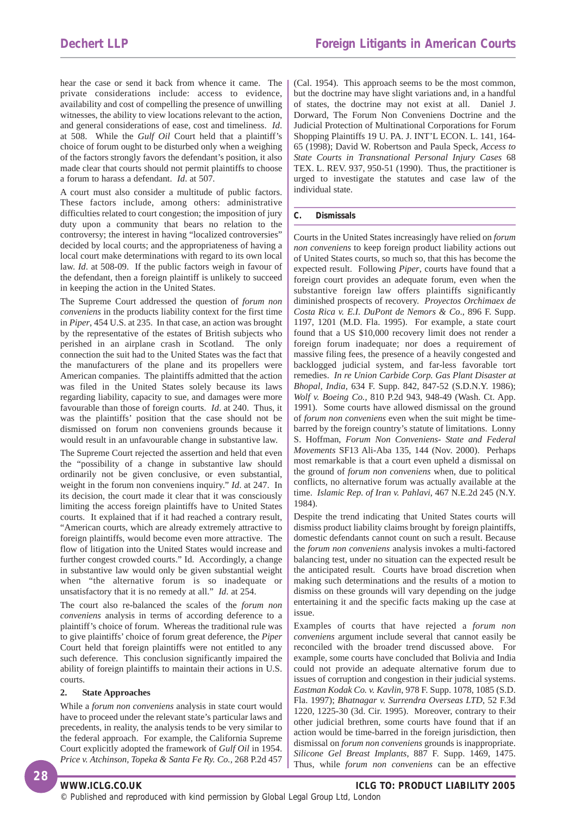hear the case or send it back from whence it came. The private considerations include: access to evidence, availability and cost of compelling the presence of unwilling witnesses, the ability to view locations relevant to the action, and general considerations of ease, cost and timeliness. *Id*. at 508. While the *Gulf Oil* Court held that a plaintiff's choice of forum ought to be disturbed only when a weighing of the factors strongly favors the defendant's position, it also made clear that courts should not permit plaintiffs to choose a forum to harass a defendant. *Id*. at 507.

A court must also consider a multitude of public factors. These factors include, among others: administrative difficulties related to court congestion; the imposition of jury duty upon a community that bears no relation to the controversy; the interest in having "localized controversies" decided by local courts; and the appropriateness of having a local court make determinations with regard to its own local law. *Id*. at 508-09. If the public factors weigh in favour of the defendant, then a foreign plaintiff is unlikely to succeed in keeping the action in the United States.

The Supreme Court addressed the question of *forum non conveniens* in the products liability context for the first time in *Piper*, 454 U.S. at 235. In that case, an action was brought by the representative of the estates of British subjects who perished in an airplane crash in Scotland. The only connection the suit had to the United States was the fact that the manufacturers of the plane and its propellers were American companies. The plaintiffs admitted that the action was filed in the United States solely because its laws regarding liability, capacity to sue, and damages were more favourable than those of foreign courts. *Id*. at 240. Thus, it was the plaintiffs' position that the case should not be dismissed on forum non conveniens grounds because it would result in an unfavourable change in substantive law.

The Supreme Court rejected the assertion and held that even the "possibility of a change in substantive law should ordinarily not be given conclusive, or even substantial, weight in the forum non conveniens inquiry." *Id*. at 247. In its decision, the court made it clear that it was consciously limiting the access foreign plaintiffs have to United States courts. It explained that if it had reached a contrary result, "American courts, which are already extremely attractive to foreign plaintiffs, would become even more attractive. The flow of litigation into the United States would increase and further congest crowded courts." Id. Accordingly, a change in substantive law would only be given substantial weight when "the alternative forum is so inadequate or unsatisfactory that it is no remedy at all." *Id*. at 254.

The court also re-balanced the scales of the *forum non conveniens* analysis in terms of according deference to a plaintiff's choice of forum. Whereas the traditional rule was to give plaintiffs' choice of forum great deference, the *Piper* Court held that foreign plaintiffs were not entitled to any such deference. This conclusion significantly impaired the ability of foreign plaintiffs to maintain their actions in U.S. courts.

#### **2. State Approaches**

While a *forum non conveniens* analysis in state court would have to proceed under the relevant state's particular laws and precedents, in reality, the analysis tends to be very similar to the federal approach. For example, the California Supreme Court explicitly adopted the framework of *Gulf Oil* in 1954. *Price v. Atchinson, Topeka & Santa Fe Ry. Co.,* 268 P.2d 457

(Cal. 1954). This approach seems to be the most common, but the doctrine may have slight variations and, in a handful of states, the doctrine may not exist at all. Daniel J. Dorward, The Forum Non Conveniens Doctrine and the Judicial Protection of Multinational Corporations for Forum Shopping Plaintiffs 19 U. PA. J. INT'L ECON. L. 141, 164- 65 (1998); David W. Robertson and Paula Speck, *Access to State Courts in Transnational Personal Injury Cases* 68 TEX. L. REV. 937, 950-51 (1990). Thus, the practitioner is urged to investigate the statutes and case law of the individual state.

#### **C. Dismissals**

Courts in the United States increasingly have relied on *forum non conveniens* to keep foreign product liability actions out of United States courts, so much so, that this has become the expected result. Following *Piper*, courts have found that a foreign court provides an adequate forum, even when the substantive foreign law offers plaintiffs significantly diminished prospects of recovery. *Proyectos Orchimaex de Costa Rica v. E.I. DuPont de Nemors & Co*., 896 F. Supp. 1197, 1201 (M.D. Fla. 1995). For example, a state court found that a US \$10,000 recovery limit does not render a foreign forum inadequate; nor does a requirement of massive filing fees, the presence of a heavily congested and backlogged judicial system, and far-less favorable tort remedies. *In re Union Carbide Corp. Gas Plant Disaster at Bhopal, India,* 634 F. Supp. 842, 847-52 (S.D.N.Y. 1986); *Wolf v. Boeing Co.,* 810 P.2d 943, 948-49 (Wash. Ct. App. 1991). Some courts have allowed dismissal on the ground of *forum non conveniens* even when the suit might be timebarred by the foreign country's statute of limitations. Lonny S. Hoffman, *Forum Non Conveniens- State and Federal Movements* SF13 Ali-Aba 135, 144 (Nov. 2000). Perhaps most remarkable is that a court even upheld a dismissal on the ground of *forum non conveniens* when, due to political conflicts, no alternative forum was actually available at the time. *Islamic Rep. of Iran v. Pahlavi*, 467 N.E.2d 245 (N.Y. 1984).

Despite the trend indicating that United States courts will dismiss product liability claims brought by foreign plaintiffs, domestic defendants cannot count on such a result. Because the *forum non conveniens* analysis invokes a multi-factored balancing test, under no situation can the expected result be the anticipated result. Courts have broad discretion when making such determinations and the results of a motion to dismiss on these grounds will vary depending on the judge entertaining it and the specific facts making up the case at issue.

Examples of courts that have rejected a *forum non conveniens* argument include several that cannot easily be reconciled with the broader trend discussed above. For example, some courts have concluded that Bolivia and India could not provide an adequate alternative forum due to issues of corruption and congestion in their judicial systems. *Eastman Kodak Co. v. Kavlin*, 978 F. Supp. 1078, 1085 (S.D. Fla. 1997); *Bhatnagar v. Surrendra Overseas LTD*, 52 F.3d 1220, 1225-30 (3d. Cir. 1995). Moreover, contrary to their other judicial brethren, some courts have found that if an action would be time-barred in the foreign jurisdiction, then dismissal on *forum non conveniens* grounds is inappropriate. *Silicone Gel Breast Implants*, 887 F. Supp. 1469, 1475. Thus, while *forum non conveniens* can be an effective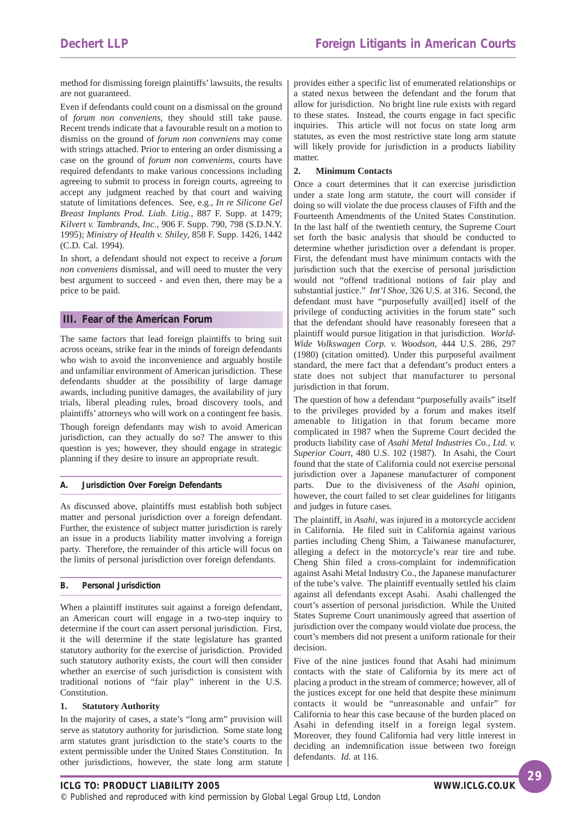method for dismissing foreign plaintiffs' lawsuits, the results are not guaranteed.

Even if defendants could count on a dismissal on the ground of *forum non conveniens*, they should still take pause. Recent trends indicate that a favourable result on a motion to dismiss on the ground of *forum non conveniens* may come with strings attached. Prior to entering an order dismissing a case on the ground of *forum non conveniens*, courts have required defendants to make various concessions including agreeing to submit to process in foreign courts, agreeing to accept any judgment reached by that court and waiving statute of limitations defences. See, e.g., *In re Silicone Gel Breast Implants Prod. Liab. Litig*., 887 F. Supp. at 1479; *Kilvert v. Tambrands, Inc.,* 906 F. Supp. 790, 798 (S.D.N.Y. 1995); *Ministry of Health v. Shiley*, 858 F. Supp. 1426, 1442 (C.D. Cal. 1994).

In short, a defendant should not expect to receive a *forum non conveniens* dismissal, and will need to muster the very best argument to succeed - and even then, there may be a price to be paid.

#### **III. Fear of the American Forum**

The same factors that lead foreign plaintiffs to bring suit across oceans, strike fear in the minds of foreign defendants who wish to avoid the inconvenience and arguably hostile and unfamiliar environment of American jurisdiction. These defendants shudder at the possibility of large damage awards, including punitive damages, the availability of jury trials, liberal pleading rules, broad discovery tools, and plaintiffs' attorneys who will work on a contingent fee basis. Though foreign defendants may wish to avoid American jurisdiction, can they actually do so? The answer to this question is yes; however, they should engage in strategic planning if they desire to insure an appropriate result.

#### **A. Jurisdiction Over Foreign Defendants**

As discussed above, plaintiffs must establish both subject matter and personal jurisdiction over a foreign defendant. Further, the existence of subject matter jurisdiction is rarely an issue in a products liability matter involving a foreign party. Therefore, the remainder of this article will focus on the limits of personal jurisdiction over foreign defendants.

#### **B. Personal Jurisdiction**

When a plaintiff institutes suit against a foreign defendant, an American court will engage in a two-step inquiry to determine if the court can assert personal jurisdiction. First, it the will determine if the state legislature has granted statutory authority for the exercise of jurisdiction. Provided such statutory authority exists, the court will then consider whether an exercise of such jurisdiction is consistent with traditional notions of "fair play" inherent in the U.S. Constitution.

#### **1. Statutory Authority**

In the majority of cases, a state's "long arm" provision will serve as statutory authority for jurisdiction. Some state long arm statutes grant jurisdiction to the state's courts to the extent permissible under the United States Constitution. In other jurisdictions, however, the state long arm statute provides either a specific list of enumerated relationships or a stated nexus between the defendant and the forum that allow for jurisdiction. No bright line rule exists with regard to these states. Instead, the courts engage in fact specific inquiries. This article will not focus on state long arm statutes, as even the most restrictive state long arm statute will likely provide for jurisdiction in a products liability matter.

#### **2. Minimum Contacts**

Once a court determines that it can exercise jurisdiction under a state long arm statute, the court will consider if doing so will violate the due process clauses of Fifth and the Fourteenth Amendments of the United States Constitution. In the last half of the twentieth century, the Supreme Court set forth the basic analysis that should be conducted to determine whether jurisdiction over a defendant is proper. First, the defendant must have minimum contacts with the jurisdiction such that the exercise of personal jurisdiction would not "offend traditional notions of fair play and substantial justice." *Int'l Shoe*, 326 U.S. at 316. Second, the defendant must have "purposefully avail[ed] itself of the privilege of conducting activities in the forum state" such that the defendant should have reasonably foreseen that a plaintiff would pursue litigation in that jurisdiction. *World-Wide Volkswagen Corp. v. Woodson*, 444 U.S. 286, 297 (1980) (citation omitted). Under this purposeful availment standard, the mere fact that a defendant's product enters a state does not subject that manufacturer to personal jurisdiction in that forum.

The question of how a defendant "purposefully avails" itself to the privileges provided by a forum and makes itself amenable to litigation in that forum became more complicated in 1987 when the Supreme Court decided the products liability case of *Asahi Metal Industries Co., Ltd. v. Superior Court*, 480 U.S. 102 (1987). In Asahi, the Court found that the state of California could not exercise personal jurisdiction over a Japanese manufacturer of component parts. Due to the divisiveness of the *Asahi* opinion, however, the court failed to set clear guidelines for litigants and judges in future cases.

The plaintiff, in *Asahi*, was injured in a motorcycle accident in California. He filed suit in California against various parties including Cheng Shim, a Taiwanese manufacturer, alleging a defect in the motorcycle's rear tire and tube. Cheng Shin filed a cross-complaint for indemnification against Asahi Metal Industry Co., the Japanese manufacturer of the tube's valve. The plaintiff eventually settled his claim against all defendants except Asahi. Asahi challenged the court's assertion of personal jurisdiction. While the United States Supreme Court unanimously agreed that assertion of jurisdiction over the company would violate due process, the court's members did not present a uniform rationale for their decision.

Five of the nine justices found that Asahi had minimum contacts with the state of California by its mere act of placing a product in the stream of commerce; however, all of the justices except for one held that despite these minimum contacts it would be "unreasonable and unfair" for California to hear this case because of the burden placed on Asahi in defending itself in a foreign legal system. Moreover, they found California had very little interest in deciding an indemnification issue between two foreign defendants. *Id.* at 116.

**29**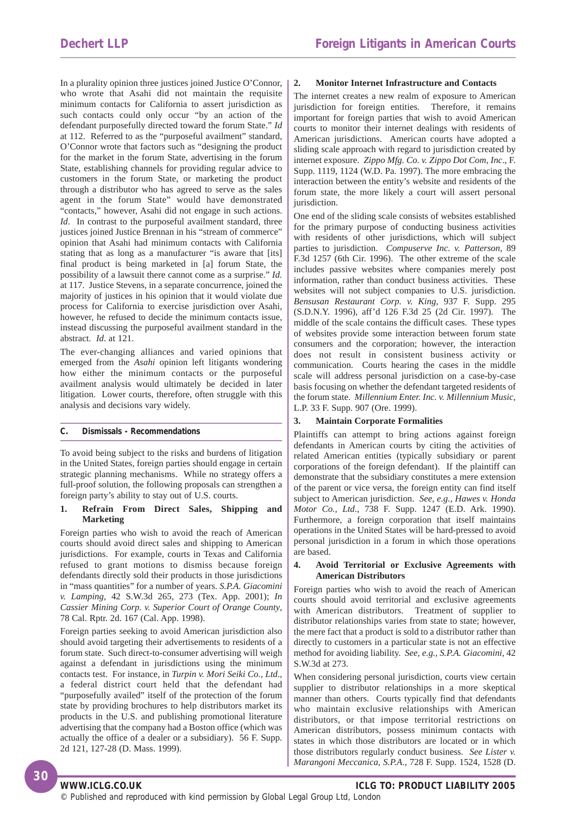In a plurality opinion three justices joined Justice O'Connor, who wrote that Asahi did not maintain the requisite minimum contacts for California to assert jurisdiction as such contacts could only occur "by an action of the defendant purposefully directed toward the forum State." *Id* at 112. Referred to as the "purposeful availment" standard, O'Connor wrote that factors such as "designing the product for the market in the forum State, advertising in the forum State, establishing channels for providing regular advice to customers in the forum State, or marketing the product through a distributor who has agreed to serve as the sales agent in the forum State" would have demonstrated "contacts," however, Asahi did not engage in such actions. *Id*. In contrast to the purposeful availment standard, three justices joined Justice Brennan in his "stream of commerce" opinion that Asahi had minimum contacts with California stating that as long as a manufacturer "is aware that [its] final product is being marketed in [a] forum State, the possibility of a lawsuit there cannot come as a surprise." *Id.* at 117. Justice Stevens, in a separate concurrence, joined the majority of justices in his opinion that it would violate due process for California to exercise jurisdiction over Asahi, however, he refused to decide the minimum contacts issue, instead discussing the purposeful availment standard in the abstract. *Id*. at 121.

The ever-changing alliances and varied opinions that emerged from the *Asahi* opinion left litigants wondering how either the minimum contacts or the purposeful availment analysis would ultimately be decided in later litigation. Lower courts, therefore, often struggle with this analysis and decisions vary widely.

#### **C. Dismissals - Recommendations**

To avoid being subject to the risks and burdens of litigation in the United States, foreign parties should engage in certain strategic planning mechanisms. While no strategy offers a full-proof solution, the following proposals can strengthen a foreign party's ability to stay out of U.S. courts.

#### **1. Refrain From Direct Sales, Shipping and Marketing**

Foreign parties who wish to avoid the reach of American courts should avoid direct sales and shipping to American jurisdictions. For example, courts in Texas and California refused to grant motions to dismiss because foreign defendants directly sold their products in those jurisdictions in "mass quantities" for a number of years. *S.P.A. Giacomini v. Lamping,* 42 S.W.3d 265, 273 (Tex. App. 2001); *In Cassier Mining Corp. v. Superior Court of Orange County*, 78 Cal. Rptr. 2d. 167 (Cal. App. 1998).

Foreign parties seeking to avoid American jurisdiction also should avoid targeting their advertisements to residents of a forum state. Such direct-to-consumer advertising will weigh against a defendant in jurisdictions using the minimum contacts test. For instance, in *Turpin v. Mori Seiki Co., Ltd*., a federal district court held that the defendant had "purposefully availed" itself of the protection of the forum state by providing brochures to help distributors market its products in the U.S. and publishing promotional literature advertising that the company had a Boston office (which was actually the office of a dealer or a subsidiary). 56 F. Supp. 2d 121, 127-28 (D. Mass. 1999).

#### **2. Monitor Internet Infrastructure and Contacts**

The internet creates a new realm of exposure to American jurisdiction for foreign entities. Therefore, it remains important for foreign parties that wish to avoid American courts to monitor their internet dealings with residents of American jurisdictions. American courts have adopted a sliding scale approach with regard to jurisdiction created by internet exposure. *Zippo Mfg. Co. v. Zippo Dot Com, Inc*., F. Supp. 1119, 1124 (W.D. Pa. 1997). The more embracing the interaction between the entity's website and residents of the forum state, the more likely a court will assert personal jurisdiction.

One end of the sliding scale consists of websites established for the primary purpose of conducting business activities with residents of other jurisdictions, which will subject parties to jurisdiction. *Compuserve Inc. v. Patterson,* 89 F.3d 1257 (6th Cir. 1996). The other extreme of the scale includes passive websites where companies merely post information, rather than conduct business activities. These websites will not subject companies to U.S. jurisdiction. *Bensusan Restaurant Corp. v. King*, 937 F. Supp. 295 (S.D.N.Y. 1996), aff'd 126 F.3d 25 (2d Cir. 1997). The middle of the scale contains the difficult cases. These types of websites provide some interaction between forum state consumers and the corporation; however, the interaction does not result in consistent business activity or communication. Courts hearing the cases in the middle scale will address personal jurisdiction on a case-by-case basis focusing on whether the defendant targeted residents of the forum state. *Millennium Enter. Inc. v. Millennium Music*, L.P. 33 F. Supp. 907 (Ore. 1999).

#### **3. Maintain Corporate Formalities**

Plaintiffs can attempt to bring actions against foreign defendants in American courts by citing the activities of related American entities (typically subsidiary or parent corporations of the foreign defendant). If the plaintiff can demonstrate that the subsidiary constitutes a mere extension of the parent or vice versa, the foreign entity can find itself subject to American jurisdiction. *See, e.g., Hawes v. Honda Motor Co., Ltd*., 738 F. Supp. 1247 (E.D. Ark. 1990). Furthermore, a foreign corporation that itself maintains operations in the United States will be hard-pressed to avoid personal jurisdiction in a forum in which those operations are based.

#### **4. Avoid Territorial or Exclusive Agreements with American Distributors**

Foreign parties who wish to avoid the reach of American courts should avoid territorial and exclusive agreements with American distributors. Treatment of supplier to distributor relationships varies from state to state; however, the mere fact that a product is sold to a distributor rather than directly to customers in a particular state is not an effective method for avoiding liability. *See, e.g., S.P.A. Giacomini*, 42 S.W.3d at 273.

When considering personal jurisdiction, courts view certain supplier to distributor relationships in a more skeptical manner than others. Courts typically find that defendants who maintain exclusive relationships with American distributors, or that impose territorial restrictions on American distributors, possess minimum contacts with states in which those distributors are located or in which those distributors regularly conduct business. *See Lister v. Marangoni Meccanica, S.P.A*., 728 F. Supp. 1524, 1528 (D.